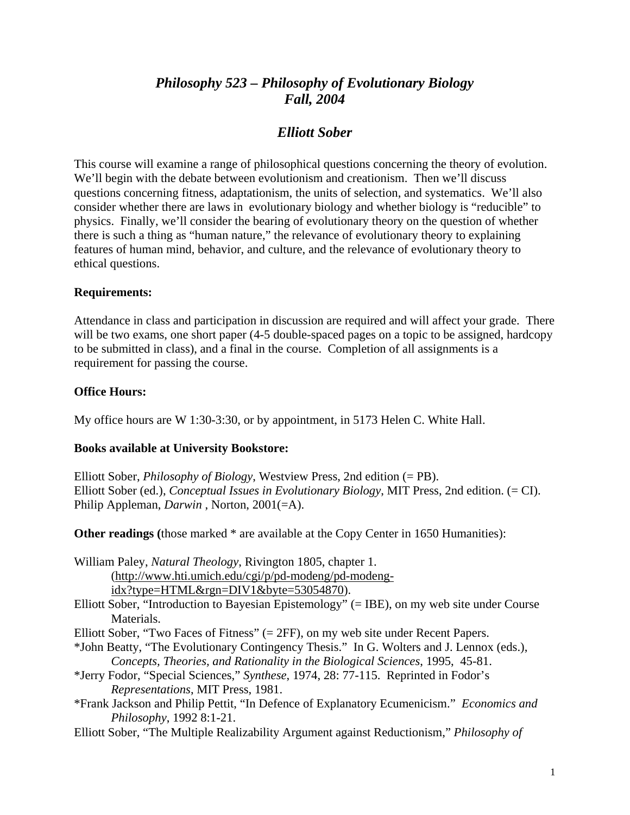# *Philosophy 523 – Philosophy of Evolutionary Biology Fall, 2004*

# *Elliott Sober*

This course will examine a range of philosophical questions concerning the theory of evolution. We'll begin with the debate between evolutionism and creationism. Then we'll discuss questions concerning fitness, adaptationism, the units of selection, and systematics. We'll also consider whether there are laws in evolutionary biology and whether biology is "reducible" to physics. Finally, we'll consider the bearing of evolutionary theory on the question of whether there is such a thing as "human nature," the relevance of evolutionary theory to explaining features of human mind, behavior, and culture, and the relevance of evolutionary theory to ethical questions.

#### **Requirements:**

Attendance in class and participation in discussion are required and will affect your grade. There will be two exams, one short paper (4-5 double-spaced pages on a topic to be assigned, hardcopy to be submitted in class), and a final in the course. Completion of all assignments is a requirement for passing the course.

### **Office Hours:**

My office hours are W 1:30-3:30, or by appointment, in 5173 Helen C. White Hall.

## **Books available at University Bookstore:**

Elliott Sober, *Philosophy of Biology*, Westview Press, 2nd edition (= PB). Elliott Sober (ed.), *Conceptual Issues in Evolutionary Biology*, MIT Press, 2nd edition. (= CI). Philip Appleman, *Darwin* , Norton, 2001(=A).

**Other readings** (those marked \* are available at the Copy Center in 1650 Humanities):

William Paley, *Natural Theology*, Rivington 1805, chapter 1.

(http://www.hti.umich.edu/cgi/p/pd-modeng/pd-modeng-

idx?type=HTML&rgn=DIV1&byte=53054870).

- Elliott Sober, "Introduction to Bayesian Epistemology" (= IBE), on my web site under Course Materials.
- Elliott Sober, "Two Faces of Fitness" (= 2FF), on my web site under Recent Papers.
- \*John Beatty, "The Evolutionary Contingency Thesis." In G. Wolters and J. Lennox (eds.), *Concepts, Theories, and Rationality in the Biological Sciences*, 1995, 45-81.
- \*Jerry Fodor, "Special Sciences," *Synthese*, 1974, 28: 77-115. Reprinted in Fodor's *Representations*, MIT Press, 1981.
- \*Frank Jackson and Philip Pettit, "In Defence of Explanatory Ecumenicism." *Economics and Philosophy*, 1992 8:1-21.
- Elliott Sober, "The Multiple Realizability Argument against Reductionism," *Philosophy of*